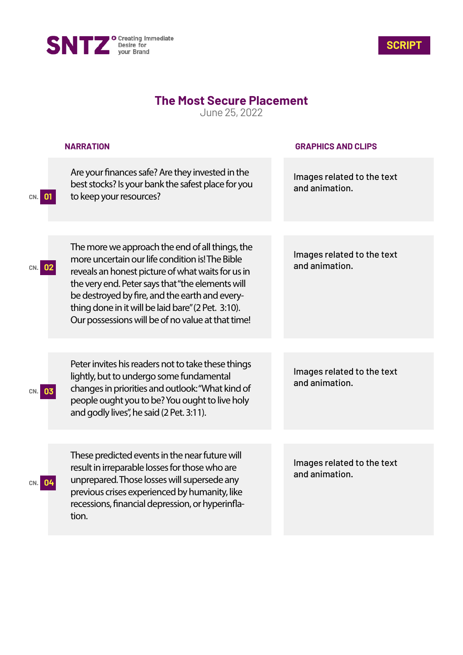



## **The Most Secure Placement**

June 25, 2022

|     | <b>NARRATION</b>                                                                                                                                                                                                                                                                                                                                                         | <b>GRAPHICS AND CLIPS</b>                    |
|-----|--------------------------------------------------------------------------------------------------------------------------------------------------------------------------------------------------------------------------------------------------------------------------------------------------------------------------------------------------------------------------|----------------------------------------------|
| CN. | Are your finances safe? Are they invested in the<br>best stocks? Is your bank the safest place for you<br>to keep your resources?                                                                                                                                                                                                                                        | Images related to the text<br>and animation. |
|     |                                                                                                                                                                                                                                                                                                                                                                          |                                              |
|     | The more we approach the end of all things, the<br>more uncertain our life condition is! The Bible<br>reveals an honest picture of what waits for us in<br>the very end. Peter says that "the elements will<br>be destroyed by fire, and the earth and every-<br>thing done in it will be laid bare" (2 Pet. 3:10).<br>Our possessions will be of no value at that time! | Images related to the text<br>and animation. |
|     |                                                                                                                                                                                                                                                                                                                                                                          |                                              |
| 03  | Peter invites his readers not to take these things<br>lightly, but to undergo some fundamental<br>changes in priorities and outlook: "What kind of<br>people ought you to be? You ought to live holy<br>and godly lives", he said (2 Pet. 3:11).                                                                                                                         | Images related to the text<br>and animation. |
|     |                                                                                                                                                                                                                                                                                                                                                                          |                                              |
| 04  | These predicted events in the near future will<br>result in irreparable losses for those who are<br>unprepared. Those losses will supersede any<br>previous crises experienced by humanity, like<br>recessions, financial depression, or hyperinfla-<br>tion.                                                                                                            | Images related to the text<br>and animation. |
|     |                                                                                                                                                                                                                                                                                                                                                                          |                                              |